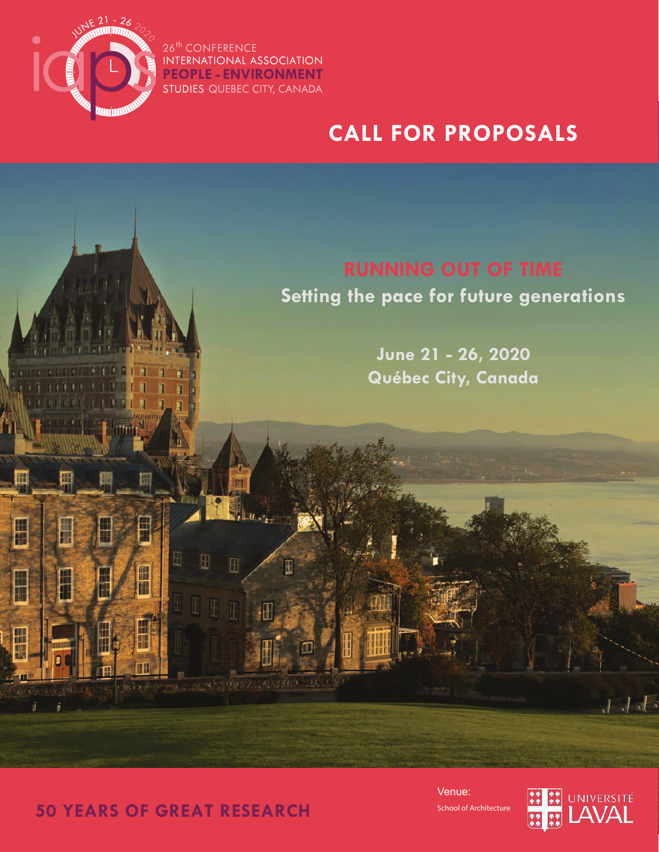

**BEE FEED** 

⊞

 $\Box$ 

F

₩

E

⊞

冊

⊞

H

F

26<sup>th</sup> CONFERENCE INTERNATIONAL ASSOCIATION STUDIES QUEBEC CITY, CANADA **PEOPLE - ENVIRONMENT**

⊞

 $\overline{\mathbb{H}}$  $\blacksquare$  $\overline{\mathbb{R}}$  Ŧ

342323330 32433.25

# **CALL FOR PROPOSALS**

**Setting the pace for future generations**

**June 21 - 26, 2020 Québec City, Canada**

**50 YEARS OF GREAT RESEARCH**

School of Architecture Venue:



ままき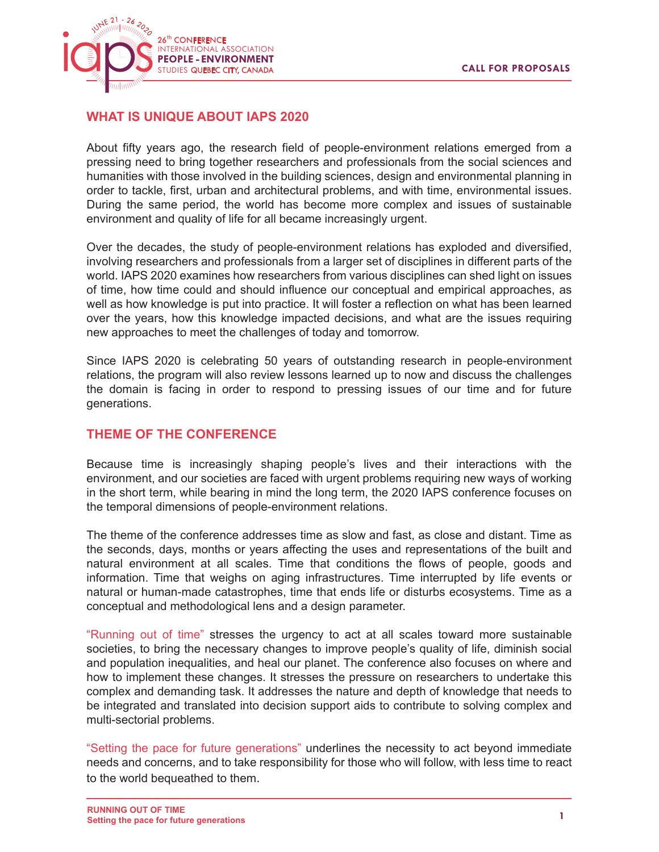

# **WHAT IS UNIQUE ABOUT IAPS 2020**

About fifty years ago, the research field of people-environment relations emerged from a pressing need to bring together researchers and professionals from the social sciences and humanities with those involved in the building sciences, design and environmental planning in order to tackle, first, urban and architectural problems, and with time, environmental issues. During the same period, the world has become more complex and issues of sustainable environment and quality of life for all became increasingly urgent.

Over the decades, the study of people-environment relations has exploded and diversified, involving researchers and professionals from a larger set of disciplines in different parts of the world. IAPS 2020 examines how researchers from various disciplines can shed light on issues of time, how time could and should influence our conceptual and empirical approaches, as well as how knowledge is put into practice. It will foster a reflection on what has been learned over the years, how this knowledge impacted decisions, and what are the issues requiring new approaches to meet the challenges of today and tomorrow.

Since IAPS 2020 is celebrating 50 years of outstanding research in people-environment relations, the program will also review lessons learned up to now and discuss the challenges the domain is facing in order to respond to pressing issues of our time and for future generations.

# **THEME OF THE CONFERENCE**

Because time is increasingly shaping people's lives and their interactions with the environment, and our societies are faced with urgent problems requiring new ways of working in the short term, while bearing in mind the long term, the 2020 IAPS conference focuses on the temporal dimensions of people-environment relations.

The theme of the conference addresses time as slow and fast, as close and distant. Time as the seconds, days, months or years affecting the uses and representations of the built and natural environment at all scales. Time that conditions the flows of people, goods and information. Time that weighs on aging infrastructures. Time interrupted by life events or natural or human-made catastrophes, time that ends life or disturbs ecosystems. Time as a conceptual and methodological lens and a design parameter.

"Running out of time" stresses the urgency to act at all scales toward more sustainable societies, to bring the necessary changes to improve people's quality of life, diminish social and population inequalities, and heal our planet. The conference also focuses on where and how to implement these changes. It stresses the pressure on researchers to undertake this complex and demanding task. It addresses the nature and depth of knowledge that needs to be integrated and translated into decision support aids to contribute to solving complex and multi-sectorial problems.

"Setting the pace for future generations" underlines the necessity to act beyond immediate needs and concerns, and to take responsibility for those who will follow, with less time to react to the world bequeathed to them.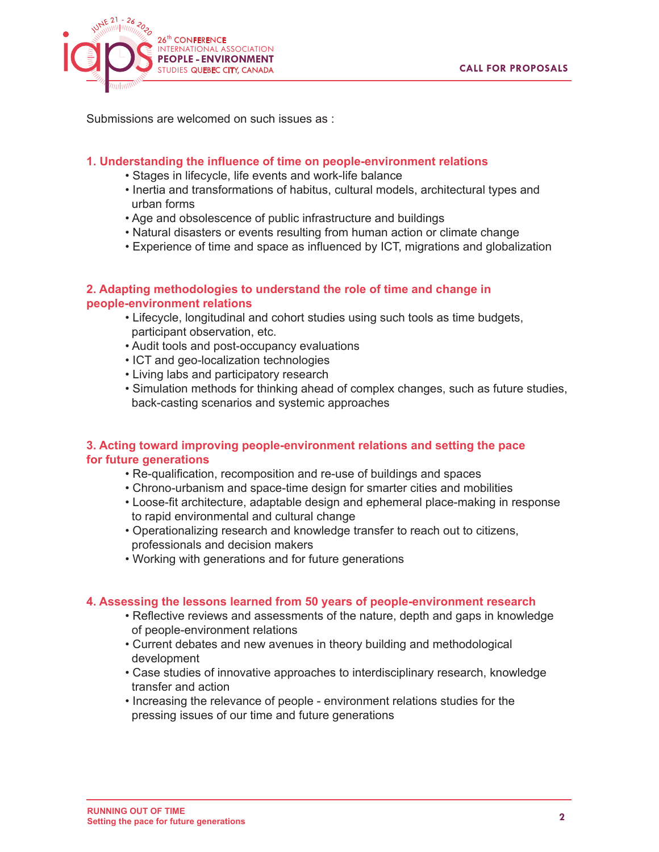

Submissions are welcomed on such issues as :

#### **1. Understanding the influence of time on people-environment relations**

- Stages in lifecycle, life events and work-life balance
- Inertia and transformations of habitus, cultural models, architectural types and urban forms
- Age and obsolescence of public infrastructure and buildings
- Natural disasters or events resulting from human action or climate change
- Experience of time and space as influenced by ICT, migrations and globalization

#### **2. Adapting methodologies to understand the role of time and change in people-environment relations**

- Lifecycle, longitudinal and cohort studies using such tools as time budgets, participant observation, etc.
- Audit tools and post-occupancy evaluations
- ICT and geo-localization technologies
- Living labs and participatory research
- Simulation methods for thinking ahead of complex changes, such as future studies, back-casting scenarios and systemic approaches

#### **3. Acting toward improving people-environment relations and setting the pace for future generations**

- Re-qualification, recomposition and re-use of buildings and spaces
- Chrono-urbanism and space-time design for smarter cities and mobilities
- Loose-fit architecture, adaptable design and ephemeral place-making in response to rapid environmental and cultural change
- Operationalizing research and knowledge transfer to reach out to citizens, professionals and decision makers
- Working with generations and for future generations

#### **4. Assessing the lessons learned from 50 years of people-environment research**

- Reflective reviews and assessments of the nature, depth and gaps in knowledge of people-environment relations
- Current debates and new avenues in theory building and methodological development
- Case studies of innovative approaches to interdisciplinary research, knowledge transfer and action
- Increasing the relevance of people environment relations studies for the pressing issues of our time and future generations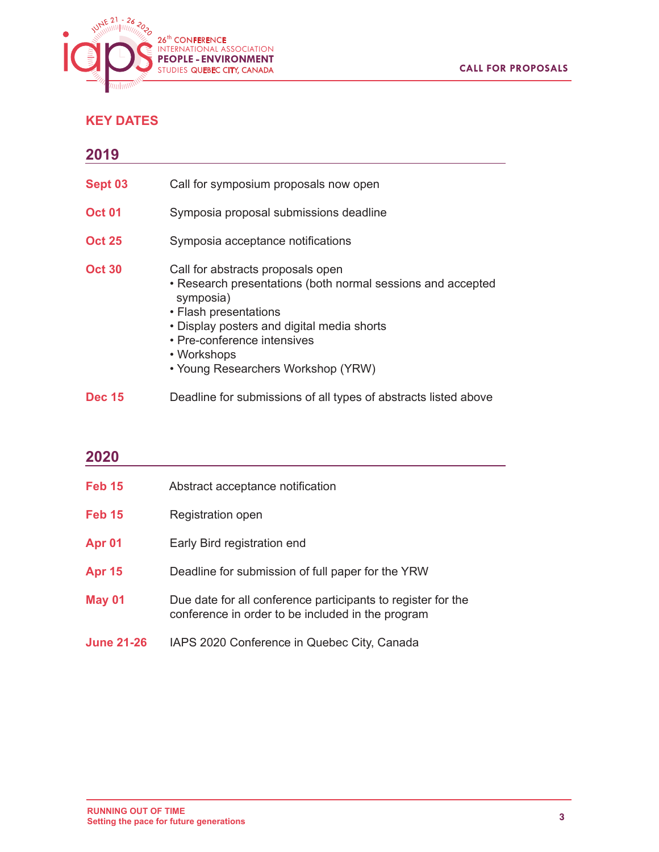

# **KEY DATES**

| 2019          |                                                                                                                                                                                                                                                                          |
|---------------|--------------------------------------------------------------------------------------------------------------------------------------------------------------------------------------------------------------------------------------------------------------------------|
| Sept 03       | Call for symposium proposals now open                                                                                                                                                                                                                                    |
| <b>Oct 01</b> | Symposia proposal submissions deadline                                                                                                                                                                                                                                   |
| <b>Oct 25</b> | Symposia acceptance notifications                                                                                                                                                                                                                                        |
| <b>Oct 30</b> | Call for abstracts proposals open<br>• Research presentations (both normal sessions and accepted<br>symposia)<br>• Flash presentations<br>• Display posters and digital media shorts<br>• Pre-conference intensives<br>• Workshops<br>• Young Researchers Workshop (YRW) |
| <b>Dec 15</b> | Deadline for submissions of all types of abstracts listed above                                                                                                                                                                                                          |

# **2020 Feb 15** Abstract acceptance notification **Feb 15** Registration open **Apr 01 Early Bird registration end Apr 15** Deadline for submission of full paper for the YRW **May 01** Due date for all conference participants to register for the conference in order to be included in the program **June 21-26** IAPS 2020 Conference in Quebec City, Canada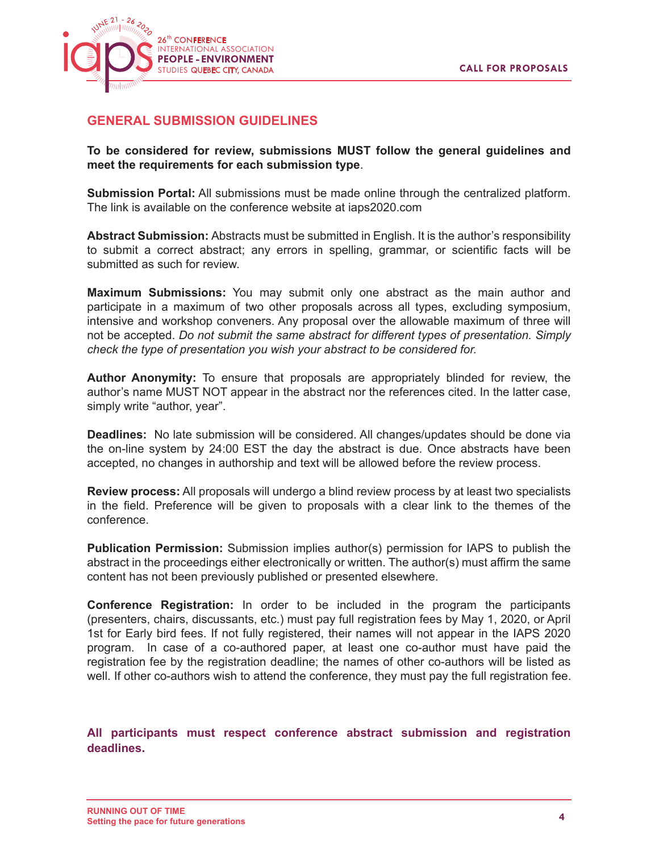

# **GENERAL SUBMISSION GUIDELINES**

**To be considered for review, submissions MUST follow the general guidelines and meet the requirements for each submission type**.

**Submission Portal:** All submissions must be made online through the centralized platform. The link is available on the conference website at iaps2020.com

**Abstract Submission:** Abstracts must be submitted in English. It is the author's responsibility to submit a correct abstract; any errors in spelling, grammar, or scientific facts will be submitted as such for review.

**Maximum Submissions:** You may submit only one abstract as the main author and participate in a maximum of two other proposals across all types, excluding symposium, intensive and workshop conveners. Any proposal over the allowable maximum of three will not be accepted. *Do not submit the same abstract for different types of presentation. Simply check the type of presentation you wish your abstract to be considered for.*

**Author Anonymity:** To ensure that proposals are appropriately blinded for review, the author's name MUST NOT appear in the abstract nor the references cited. In the latter case, simply write "author, year".

**Deadlines:** No late submission will be considered. All changes/updates should be done via the on-line system by 24:00 EST the day the abstract is due. Once abstracts have been accepted, no changes in authorship and text will be allowed before the review process.

**Review process:** All proposals will undergo a blind review process by at least two specialists in the field. Preference will be given to proposals with a clear link to the themes of the conference.

**Publication Permission:** Submission implies author(s) permission for IAPS to publish the abstract in the proceedings either electronically or written. The author(s) must affirm the same content has not been previously published or presented elsewhere.

**Conference Registration:** In order to be included in the program the participants (presenters, chairs, discussants, etc.) must pay full registration fees by May 1, 2020, or April 1st for Early bird fees. If not fully registered, their names will not appear in the IAPS 2020 program. In case of a co-authored paper, at least one co-author must have paid the registration fee by the registration deadline; the names of other co-authors will be listed as well. If other co-authors wish to attend the conference, they must pay the full registration fee.

**All participants must respect conference abstract submission and registration deadlines.**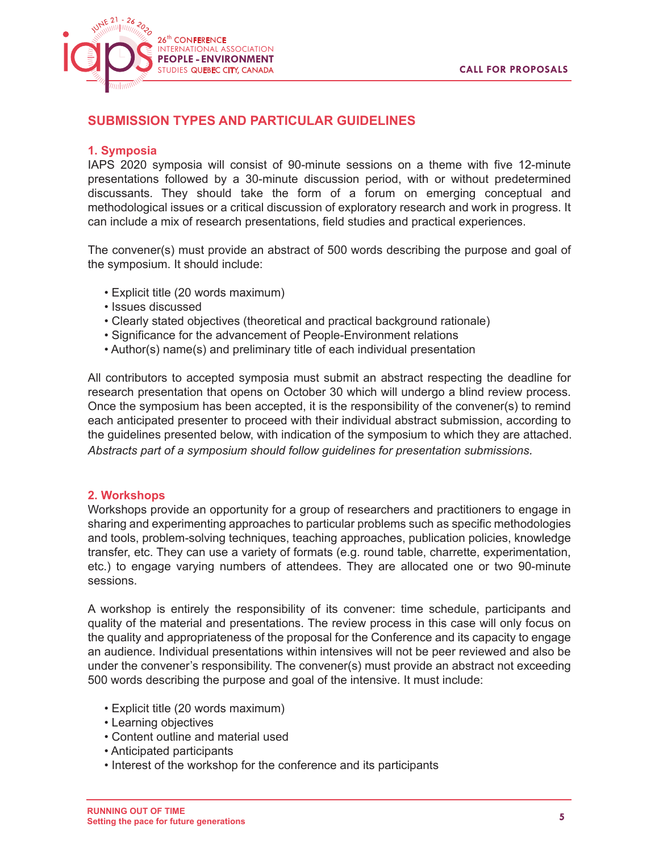

# **SUBMISSION TYPES AND PARTICULAR GUIDELINES**

#### **1. Symposia**

IAPS 2020 symposia will consist of 90-minute sessions on a theme with five 12-minute presentations followed by a 30-minute discussion period, with or without predetermined discussants. They should take the form of a forum on emerging conceptual and methodological issues or a critical discussion of exploratory research and work in progress. It can include a mix of research presentations, field studies and practical experiences.

The convener(s) must provide an abstract of 500 words describing the purpose and goal of the symposium. It should include:

- Explicit title (20 words maximum)
- Issues discussed
- Clearly stated objectives (theoretical and practical background rationale)
- Significance for the advancement of People-Environment relations
- Author(s) name(s) and preliminary title of each individual presentation

All contributors to accepted symposia must submit an abstract respecting the deadline for research presentation that opens on October 30 which will undergo a blind review process. Once the symposium has been accepted, it is the responsibility of the convener(s) to remind each anticipated presenter to proceed with their individual abstract submission, according to the guidelines presented below, with indication of the symposium to which they are attached. *Abstracts part of a symposium should follow guidelines for presentation submissions.*

#### **2. Workshops**

Workshops provide an opportunity for a group of researchers and practitioners to engage in sharing and experimenting approaches to particular problems such as specific methodologies and tools, problem-solving techniques, teaching approaches, publication policies, knowledge transfer, etc. They can use a variety of formats (e.g. round table, charrette, experimentation, etc.) to engage varying numbers of attendees. They are allocated one or two 90-minute sessions.

A workshop is entirely the responsibility of its convener: time schedule, participants and quality of the material and presentations. The review process in this case will only focus on the quality and appropriateness of the proposal for the Conference and its capacity to engage an audience. Individual presentations within intensives will not be peer reviewed and also be under the convener's responsibility. The convener(s) must provide an abstract not exceeding 500 words describing the purpose and goal of the intensive. It must include:

- Explicit title (20 words maximum)
- Learning objectives
- Content outline and material used
- Anticipated participants
- Interest of the workshop for the conference and its participants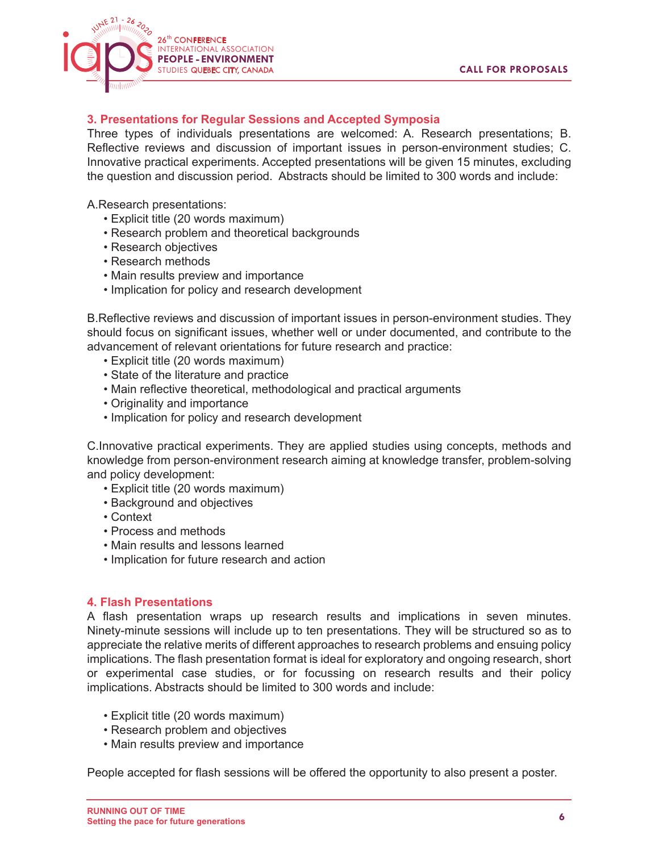

# **3. Presentations for Regular Sessions and Accepted Symposia**

Three types of individuals presentations are welcomed: A. Research presentations; B. Reflective reviews and discussion of important issues in person-environment studies; C. Innovative practical experiments. Accepted presentations will be given 15 minutes, excluding the question and discussion period. Abstracts should be limited to 300 words and include:

A.Research presentations:

- Explicit title (20 words maximum)
- Research problem and theoretical backgrounds
- Research objectives
- Research methods
- Main results preview and importance
- Implication for policy and research development

B.Reflective reviews and discussion of important issues in person-environment studies. They should focus on significant issues, whether well or under documented, and contribute to the advancement of relevant orientations for future research and practice:

- Explicit title (20 words maximum)
- State of the literature and practice
- Main reflective theoretical, methodological and practical arguments
- Originality and importance
- Implication for policy and research development

C.Innovative practical experiments. They are applied studies using concepts, methods and knowledge from person-environment research aiming at knowledge transfer, problem-solving and policy development:

- Explicit title (20 words maximum)
- Background and objectives
- Context
- Process and methods
- Main results and lessons learned
- Implication for future research and action

#### **4. Flash Presentations**

A flash presentation wraps up research results and implications in seven minutes. Ninety-minute sessions will include up to ten presentations. They will be structured so as to appreciate the relative merits of different approaches to research problems and ensuing policy implications. The flash presentation format is ideal for exploratory and ongoing research, short or experimental case studies, or for focussing on research results and their policy implications. Abstracts should be limited to 300 words and include:

- Explicit title (20 words maximum)
- Research problem and objectives
- Main results preview and importance

People accepted for flash sessions will be offered the opportunity to also present a poster.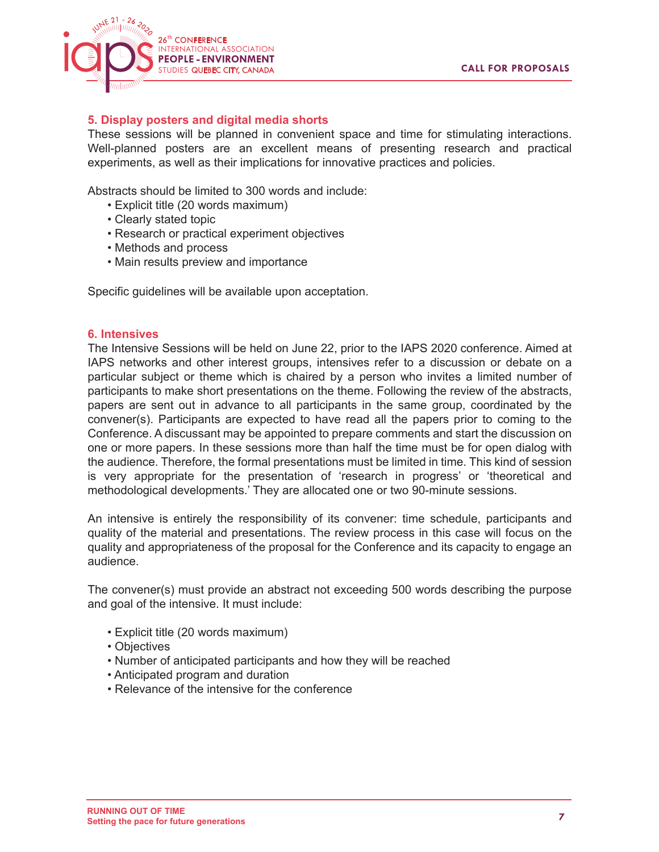

### **5. Display posters and digital media shorts**

These sessions will be planned in convenient space and time for stimulating interactions. Well-planned posters are an excellent means of presenting research and practical experiments, as well as their implications for innovative practices and policies.

Abstracts should be limited to 300 words and include:

- Explicit title (20 words maximum)
- Clearly stated topic
- Research or practical experiment objectives
- Methods and process
- Main results preview and importance

Specific guidelines will be available upon acceptation.

#### **6. Intensives**

The Intensive Sessions will be held on June 22, prior to the IAPS 2020 conference. Aimed at IAPS networks and other interest groups, intensives refer to a discussion or debate on a particular subject or theme which is chaired by a person who invites a limited number of participants to make short presentations on the theme. Following the review of the abstracts, papers are sent out in advance to all participants in the same group, coordinated by the convener(s). Participants are expected to have read all the papers prior to coming to the Conference. A discussant may be appointed to prepare comments and start the discussion on one or more papers. In these sessions more than half the time must be for open dialog with the audience. Therefore, the formal presentations must be limited in time. This kind of session is very appropriate for the presentation of 'research in progress' or 'theoretical and methodological developments.' They are allocated one or two 90-minute sessions.

An intensive is entirely the responsibility of its convener: time schedule, participants and quality of the material and presentations. The review process in this case will focus on the quality and appropriateness of the proposal for the Conference and its capacity to engage an audience.

The convener(s) must provide an abstract not exceeding 500 words describing the purpose and goal of the intensive. It must include:

- Explicit title (20 words maximum)
- Objectives
- Number of anticipated participants and how they will be reached
- Anticipated program and duration
- Relevance of the intensive for the conference